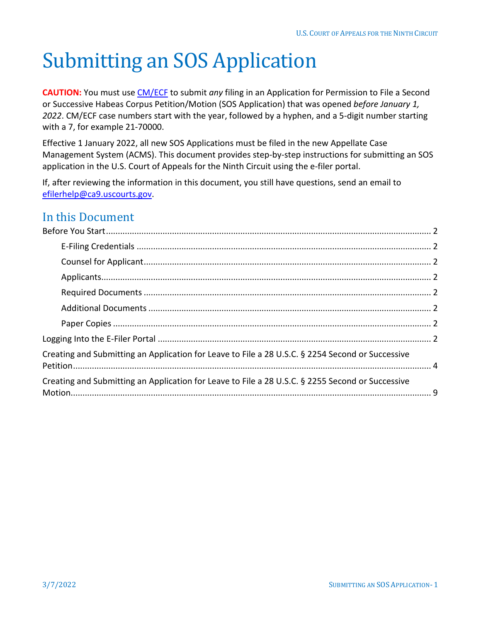# Submitting an SOS Application

**CAUTION:** You must use [CM/ECF](https://ecf.ca9.uscourts.gov/n/AttorneyFiling/login.jsf) to submit *any* filing in an Application for Permission to File a Second or Successive Habeas Corpus Petition/Motion (SOS Application) that was opened *before January 1, 2022*. CM/ECF case numbers start with the year, followed by a hyphen, and a 5-digit number starting with a 7, for example 21-70000.

Effective 1 January 2022, all new SOS Applications must be filed in the new Appellate Case Management System (ACMS). This document provides step-by-step instructions for submitting an SOS application in the U.S. Court of Appeals for the Ninth Circuit using the e-filer portal.

If, after reviewing the information in this document, you still have questions, send an email to [efilerhelp@ca9.uscourts.gov.](mailto:efilerhelp@ca9.uscourts.gov)

### In this Document

| Creating and Submitting an Application for Leave to File a 28 U.S.C. § 2254 Second or Successive |  |
|--------------------------------------------------------------------------------------------------|--|
| Creating and Submitting an Application for Leave to File a 28 U.S.C. § 2255 Second or Successive |  |
|                                                                                                  |  |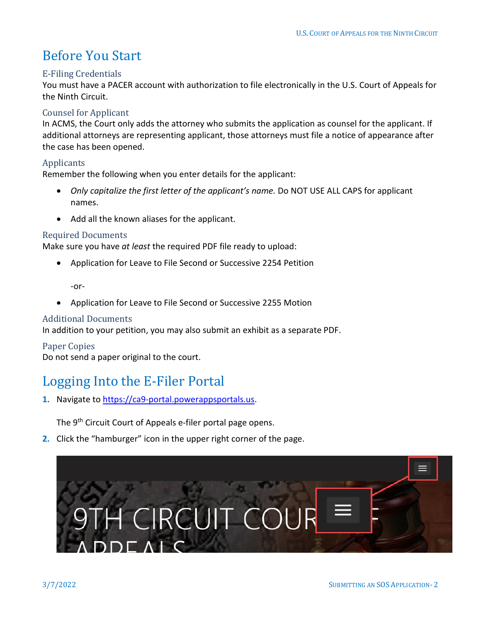## <span id="page-1-0"></span>Before You Start

### <span id="page-1-1"></span>E-Filing Credentials

You must have a PACER account with authorization to file electronically in the U.S. Court of Appeals for the Ninth Circuit.

### <span id="page-1-2"></span>Counsel for Applicant

In ACMS, the Court only adds the attorney who submits the application as counsel for the applicant. If additional attorneys are representing applicant, those attorneys must file a notice of appearance after the case has been opened.

### <span id="page-1-3"></span>Applicants

Remember the following when you enter details for the applicant:

- *Only capitalize the first letter of the applicant's name.* Do NOT USE ALL CAPS for applicant names.
- Add all the known aliases for the applicant.

### <span id="page-1-4"></span>Required Documents

Make sure you have *at least* the required PDF file ready to upload:

• Application for Leave to File Second or Successive 2254 Petition

-or-

• Application for Leave to File Second or Successive 2255 Motion

### <span id="page-1-5"></span>Additional Documents

In addition to your petition, you may also submit an exhibit as a separate PDF.

### <span id="page-1-6"></span>Paper Copies

Do not send a paper original to the court.

### <span id="page-1-7"></span>Logging Into the E-Filer Portal

**1.** Navigate to [https://ca9-portal.powerappsportals.us.](https://ca9-portal.powerappsportals.us/)

The 9<sup>th</sup> Circuit Court of Appeals e-filer portal page opens.

**2.** Click the "hamburger" icon in the upper right corner of the page.

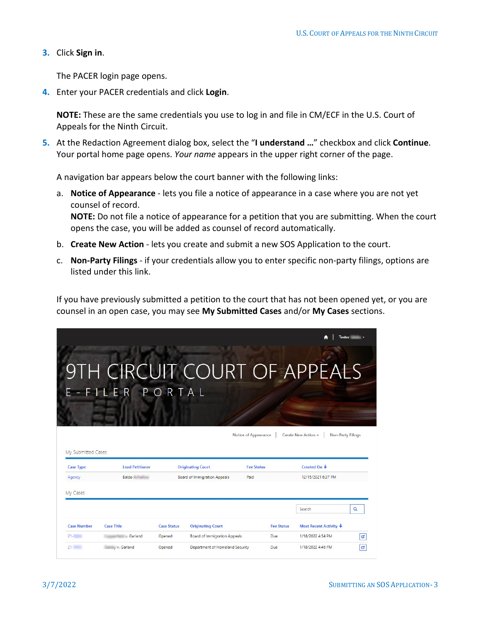**3.** Click **Sign in**.

The PACER login page opens.

**4.** Enter your PACER credentials and click **Login**.

**NOTE:** These are the same credentials you use to log in and file in CM/ECF in the U.S. Court of Appeals for the Ninth Circuit.

**5.** At the Redaction Agreement dialog box, select the "**I understand …**" checkbox and click **Continue**. Your portal home page opens. *Your name* appears in the upper right corner of the page.

A navigation bar appears below the court banner with the following links:

- a. **Notice of Appearance** lets you file a notice of appearance in a case where you are not yet counsel of record. **NOTE:** Do not file a notice of appearance for a petition that you are submitting. When the court opens the case, you will be added as counsel of record automatically.
- b. **Create New Action** lets you create and submit a new SOS Application to the court.
- c. **Non-Party Filings** if your credentials allow you to enter specific non-party filings, options are listed under this link.

If you have previously submitted a petition to the court that has not been opened yet, or you are counsel in an open case, you may see **My Submitted Cases** and/or **My Cases** sections.

|                                          |                                                |                    |                                     |                                           |                   |                                     | Tester            |
|------------------------------------------|------------------------------------------------|--------------------|-------------------------------------|-------------------------------------------|-------------------|-------------------------------------|-------------------|
|                                          | 9TH CIRCUIT COURT OF APPEALS<br>E-FILER PORTAL |                    |                                     |                                           |                   |                                     |                   |
|                                          |                                                |                    |                                     |                                           |                   |                                     |                   |
| <b>Case Type</b>                         | <b>Lead Petitioner</b>                         |                    | <b>Originating Court</b>            | Notice of Appearance<br><b>Fee Status</b> |                   | Create New Action -<br>Created On + | Non-Party Filings |
| Agency                                   | Baldo                                          |                    | Board of Immigration Appeals        | Paid                                      |                   | 12/15/2021 6:37 PM                  |                   |
|                                          |                                                |                    |                                     |                                           |                   |                                     |                   |
|                                          |                                                |                    |                                     |                                           |                   | Search                              | $\alpha$          |
| <b>Case Number</b>                       | <b>Case Title</b>                              | <b>Case Status</b> | <b>Originating Court</b>            |                                           | <b>Fee Status</b> | Most Recent Activity +              |                   |
| My Submitted Cases<br>My Cases<br>$21 -$ | v. Garland                                     | Opened             | <b>Board of Immigration Appeals</b> |                                           | Due               | 1/18/2022 4:54 PM                   | G                 |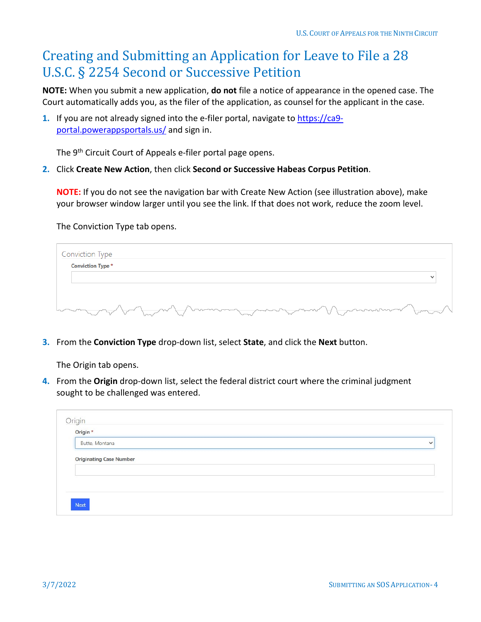### <span id="page-3-0"></span>Creating and Submitting an Application for Leave to File a 28 U.S.C. § 2254 Second or Successive Petition

**NOTE:** When you submit a new application, **do not** file a notice of appearance in the opened case. The Court automatically adds you, as the filer of the application, as counsel for the applicant in the case.

**1.** If you are not already signed into the e-filer portal, navigate t[o https://ca9](https://ca9-portal.powerappsportals.us/) [portal.powerappsportals.us/](https://ca9-portal.powerappsportals.us/) and sign in.

The 9<sup>th</sup> Circuit Court of Appeals e-filer portal page opens.

**2.** Click **Create New Action**, then click **Second or Successive Habeas Corpus Petition**.

**NOTE:** If you do not see the navigation bar with Create New Action (see illustration above), make your browser window larger until you see the link. If that does not work, reduce the zoom level.

The Conviction Type tab opens.

| Conviction Type                                             |  |
|-------------------------------------------------------------|--|
| <b>Conviction Type *</b>                                    |  |
|                                                             |  |
|                                                             |  |
| want to be the wind want was more than the want of the ward |  |

**3.** From the **Conviction Type** drop-down list, select **State**, and click the **Next** button.

The Origin tab opens.

**4.** From the **Origin** drop-down list, select the federal district court where the criminal judgment sought to be challenged was entered.

| Butte, Montana                 | $\checkmark$ |
|--------------------------------|--------------|
|                                |              |
| <b>Originating Case Number</b> |              |
|                                |              |
|                                |              |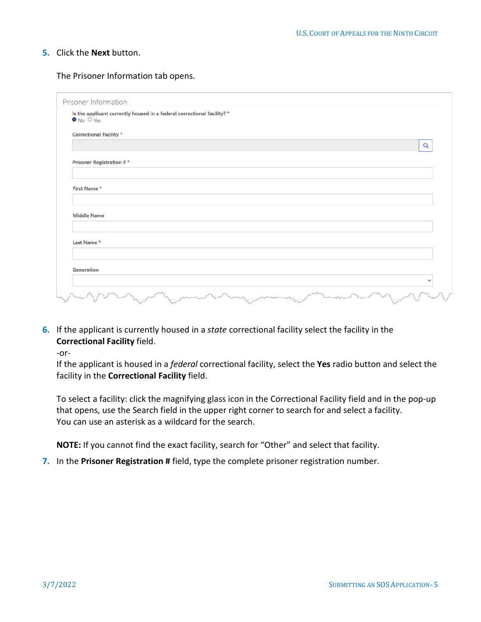The Prisoner Information tab opens.

| Is the applicant currently housed in a federal correctional facility? *<br>$\bullet$ No $\circ$ Yes |          |
|-----------------------------------------------------------------------------------------------------|----------|
| <b>Correctional Facility *</b>                                                                      |          |
|                                                                                                     | $\alpha$ |
| <b>Prisoner Registration #*</b>                                                                     |          |
| First Name*<br><b>Middle Name</b>                                                                   |          |
| Last Name*                                                                                          |          |
| <b>Generation</b>                                                                                   |          |
|                                                                                                     |          |

**6.** If the applicant is currently housed in a *state* correctional facility select the facility in the **Correctional Facility** field.

-or-

If the applicant is housed in a *federal* correctional facility, select the **Yes** radio button and select the facility in the **Correctional Facility** field.

To select a facility: click the magnifying glass icon in the Correctional Facility field and in the pop-up that opens, use the Search field in the upper right corner to search for and select a facility. You can use an asterisk as a wildcard for the search.

**NOTE:** If you cannot find the exact facility, search for "Other" and select that facility.

**7.** In the **Prisoner Registration #** field, type the complete prisoner registration number.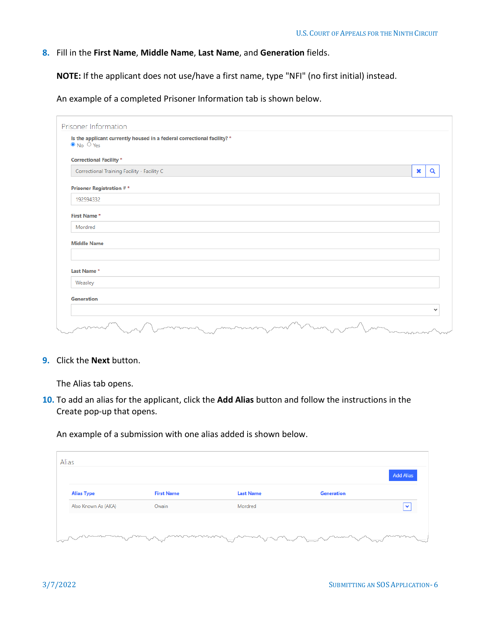### **8.** Fill in the **First Name**, **Middle Name**, **Last Name**, and **Generation** fields.

**NOTE:** If the applicant does not use/have a first name, type "NFI" (no first initial) instead.

An example of a completed Prisoner Information tab is shown below.

| Is the applicant currently housed in a federal correctional facility? *<br>$\bullet$ No $\circ$ Yes |             |
|-----------------------------------------------------------------------------------------------------|-------------|
| <b>Correctional Facility *</b>                                                                      |             |
| Correctional Training Facility - Facility C                                                         | ×<br>Q      |
| <b>Prisoner Registration #*</b>                                                                     |             |
| 192594332                                                                                           |             |
| First Name*                                                                                         |             |
| Mordred                                                                                             |             |
| <b>Middle Name</b>                                                                                  |             |
| Last Name*                                                                                          |             |
| Weasley                                                                                             |             |
| Generation                                                                                          |             |
|                                                                                                     | $\check{ }$ |

**9.** Click the **Next** button.

The Alias tab opens.

**10.** To add an alias for the applicant, click the **Add Alias** button and follow the instructions in the Create pop-up that opens.

An example of a submission with one alias added is shown below.

| <b>Alias Type</b>   | <b>First Name</b> | <b>Last Name</b> | Generation |              |
|---------------------|-------------------|------------------|------------|--------------|
| Also Known As (AKA) | Owain             | Mordred          |            | $\checkmark$ |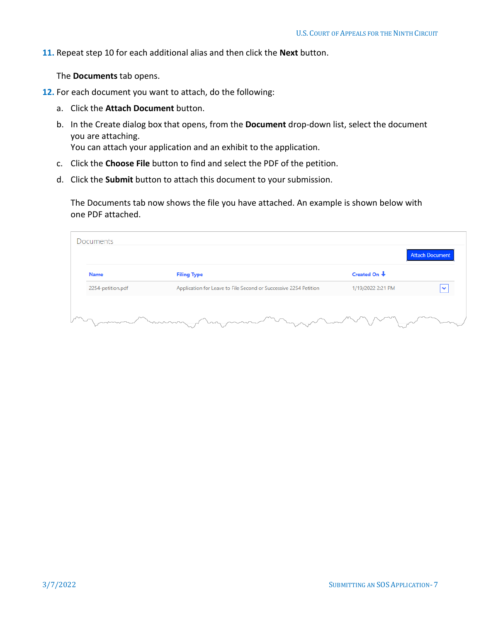**11.** Repeat step 10 for each additional alias and then click the **Next** button.

The **Documents** tab opens.

- **12.** For each document you want to attach, do the following:
	- a. Click the **Attach Document** button.
	- b. In the Create dialog box that opens, from the **Document** drop-down list, select the document you are attaching.

You can attach your application and an exhibit to the application.

- c. Click the **Choose File** button to find and select the PDF of the petition.
- d. Click the **Submit** button to attach this document to your submission.

The Documents tab now shows the file you have attached. An example is shown below with one PDF attached.

|                   |                                                                  |                       | <b>Attach Document</b> |
|-------------------|------------------------------------------------------------------|-----------------------|------------------------|
| <b>Name</b>       | <b>Filing Type</b>                                               | Created On $\bigstar$ |                        |
| 2254-petition.pdf | Application for Leave to File Second or Successive 2254 Petition | 1/19/2022 2:21 PM     |                        |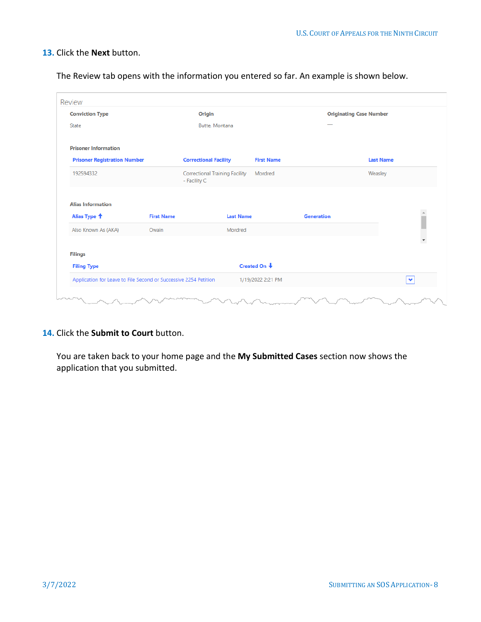The Review tab opens with the information you entered so far. An example is shown below.

| <b>Conviction Type</b><br>State     |                                                                  | Origin<br>Butte, Montana                                         |                   | <b>Originating Case Number</b> |
|-------------------------------------|------------------------------------------------------------------|------------------------------------------------------------------|-------------------|--------------------------------|
| <b>Prisoner Information</b>         |                                                                  |                                                                  |                   |                                |
| <b>Prisoner Registration Number</b> |                                                                  | <b>Correctional Facility</b>                                     | <b>First Name</b> | <b>Last Name</b>               |
| 192594332                           |                                                                  | <b>Correctional Training Facility</b><br>Mordred<br>- Facility C |                   | Weasley                        |
| <b>Alias Information</b>            |                                                                  |                                                                  |                   |                                |
| Alias Type <sup>+</sup>             | <b>First Name</b>                                                | <b>Last Name</b>                                                 | <b>Generation</b> |                                |
| Also Known As (AKA)                 | Owain                                                            | Mordred                                                          |                   | $\overline{\phantom{a}}$       |
| <b>Filings</b>                      |                                                                  |                                                                  |                   |                                |
| <b>Filing Type</b>                  |                                                                  | Created On $\downarrow$                                          |                   |                                |
|                                     | Application for Leave to File Second or Successive 2254 Petition | 1/19/2022 2:21 PM                                                |                   | $\checkmark$                   |

### **14.** Click the **Submit to Court** button.

You are taken back to your home page and the **My Submitted Cases** section now shows the application that you submitted.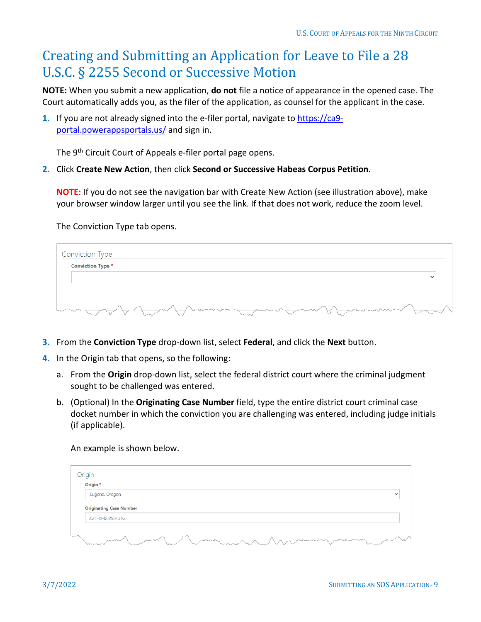### <span id="page-8-0"></span>Creating and Submitting an Application for Leave to File a 28 U.S.C. § 2255 Second or Successive Motion

**NOTE:** When you submit a new application, **do not** file a notice of appearance in the opened case. The Court automatically adds you, as the filer of the application, as counsel for the applicant in the case.

**1.** If you are not already signed into the e-filer portal, navigate t[o https://ca9](https://ca9-portal.powerappsportals.us/) [portal.powerappsportals.us/](https://ca9-portal.powerappsportals.us/) and sign in.

The 9<sup>th</sup> Circuit Court of Appeals e-filer portal page opens.

**2.** Click **Create New Action**, then click **Second or Successive Habeas Corpus Petition**.

**NOTE:** If you do not see the navigation bar with Create New Action (see illustration above), make your browser window larger until you see the link. If that does not work, reduce the zoom level.

The Conviction Type tab opens.

| <b>Conviction Type *</b> |  |
|--------------------------|--|
|                          |  |
|                          |  |

- **3.** From the **Conviction Type** drop-down list, select **Federal**, and click the **Next** button.
- **4.** In the Origin tab that opens, so the following:
	- a. From the **Origin** drop-down list, select the federal district court where the criminal judgment sought to be challenged was entered.
	- b. (Optional) In the **Originating Case Number** field, type the entire district court criminal case docket number in which the conviction you are challenging was entered, including judge initials (if applicable).

An example is shown below.

| Origin *                                            |              |
|-----------------------------------------------------|--------------|
| Eugene, Oregon                                      | $\checkmark$ |
| <b>Originating Case Number</b><br>2:21-cr-00258-UTG |              |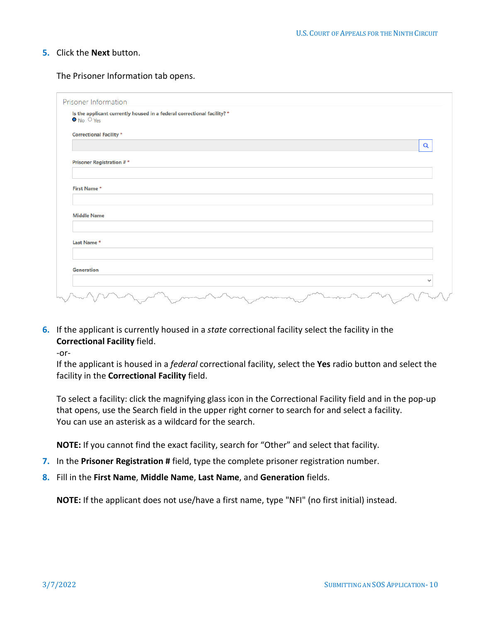The Prisoner Information tab opens.

| Is the applicant currently housed in a federal correctional facility? *<br>$\bullet$ No $\circ$ Yes |  |  |          |
|-----------------------------------------------------------------------------------------------------|--|--|----------|
| <b>Correctional Facility *</b>                                                                      |  |  |          |
|                                                                                                     |  |  | $\alpha$ |
| <b>Prisoner Registration #*</b>                                                                     |  |  |          |
| First Name*                                                                                         |  |  |          |
| <b>Middle Name</b>                                                                                  |  |  |          |
| Last Name*                                                                                          |  |  |          |
| <b>Generation</b>                                                                                   |  |  |          |
|                                                                                                     |  |  | ◡        |

**6.** If the applicant is currently housed in a *state* correctional facility select the facility in the **Correctional Facility** field.

-or-

If the applicant is housed in a *federal* correctional facility, select the **Yes** radio button and select the facility in the **Correctional Facility** field.

To select a facility: click the magnifying glass icon in the Correctional Facility field and in the pop-up that opens, use the Search field in the upper right corner to search for and select a facility. You can use an asterisk as a wildcard for the search.

**NOTE:** If you cannot find the exact facility, search for "Other" and select that facility.

- **7.** In the **Prisoner Registration #** field, type the complete prisoner registration number.
- **8.** Fill in the **First Name**, **Middle Name**, **Last Name**, and **Generation** fields.

**NOTE:** If the applicant does not use/have a first name, type "NFI" (no first initial) instead.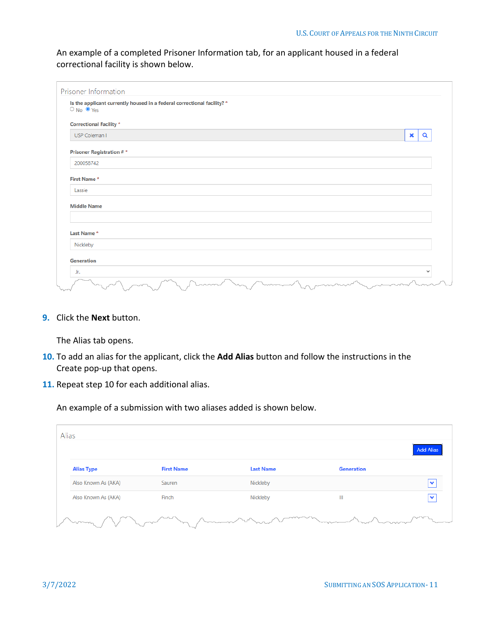An example of a completed Prisoner Information tab, for an applicant housed in a federal correctional facility is shown below.

| Is the applicant currently housed in a federal correctional facility? *<br>$O$ No $O$ Yes |  |             |              |
|-------------------------------------------------------------------------------------------|--|-------------|--------------|
| <b>Correctional Facility *</b>                                                            |  |             |              |
| USP Coleman I                                                                             |  | $\mathbf x$ | Q            |
| <b>Prisoner Registration #*</b>                                                           |  |             |              |
| 200058742                                                                                 |  |             |              |
| First Name*                                                                               |  |             |              |
| Lassie                                                                                    |  |             |              |
| <b>Middle Name</b>                                                                        |  |             |              |
| Last Name*                                                                                |  |             |              |
| Nickleby                                                                                  |  |             |              |
| <b>Generation</b>                                                                         |  |             |              |
| Jr.                                                                                       |  |             | $\checkmark$ |

**9.** Click the **Next** button.

The Alias tab opens.

- **10.** To add an alias for the applicant, click the **Add Alias** button and follow the instructions in the Create pop-up that opens.
- **11.** Repeat step 10 for each additional alias.

An example of a submission with two aliases added is shown below.

|                     |                   |                  |                   | <b>Add Alias</b> |
|---------------------|-------------------|------------------|-------------------|------------------|
| <b>Alias Type</b>   | <b>First Name</b> | <b>Last Name</b> | <b>Generation</b> |                  |
| Also Known As (AKA) | Sauren            | Nickleby         |                   | $\checkmark$     |
| Also Known As (AKA) | Finch             | Nickleby         | Ш                 | ◆                |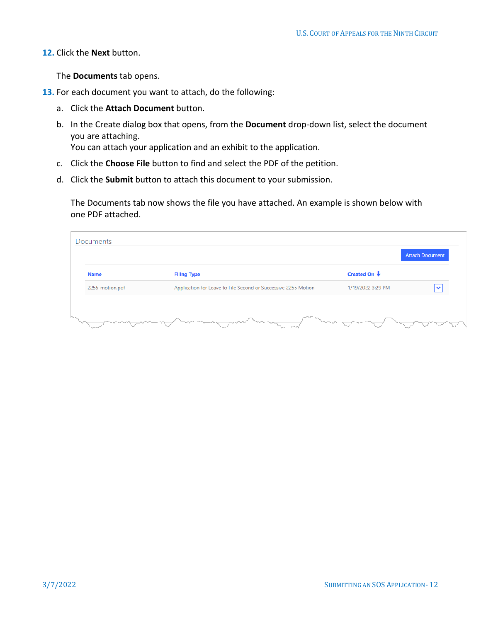The **Documents** tab opens.

- **13.** For each document you want to attach, do the following:
	- a. Click the **Attach Document** button.
	- b. In the Create dialog box that opens, from the **Document** drop-down list, select the document you are attaching.

You can attach your application and an exhibit to the application.

- c. Click the **Choose File** button to find and select the PDF of the petition.
- d. Click the **Submit** button to attach this document to your submission.

The Documents tab now shows the file you have attached. An example is shown below with one PDF attached.

| Name            | <b>Filing Type</b>                                             | Created On $\bigstar$ |              |
|-----------------|----------------------------------------------------------------|-----------------------|--------------|
| 2255-motion.pdf | Application for Leave to File Second or Successive 2255 Motion | 1/19/2022 3:29 PM     | $\checkmark$ |